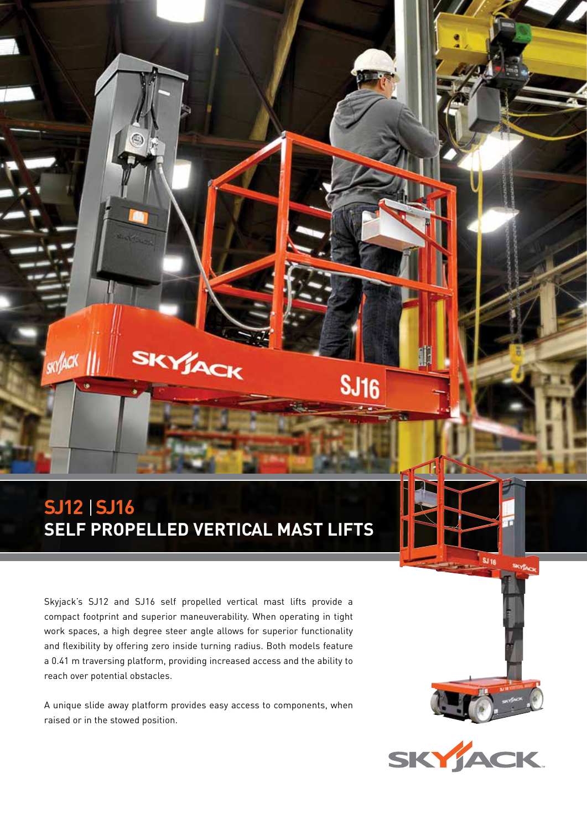## **SJ12 SJ16 SELF PROPELLED VERTICAL MAST LIFTS**

SKYJACK

skylack

Skyjack's SJ12 and SJ16 self propelled vertical mast lifts provide a compact footprint and superior maneuverability. When operating in tight work spaces, a high degree steer angle allows for superior functionality and flexibility by offering zero inside turning radius. Both models feature a 0.41 m traversing platform, providing increased access and the ability to reach over potential obstacles.

A unique slide away platform provides easy access to components, when raised or in the stowed position.



**SJ 16** 

**SJ16**